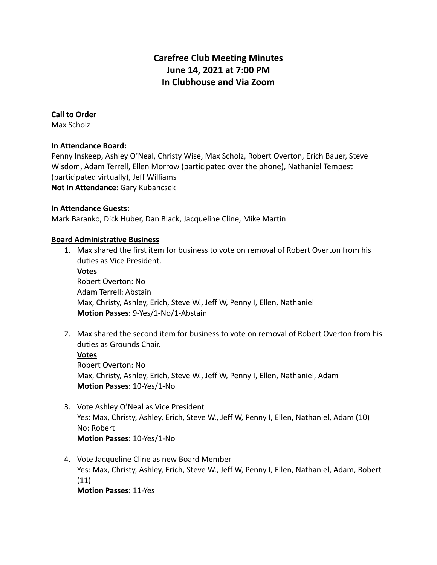# **Carefree Club Meeting Minutes June 14, 2021 at 7:00 PM In Clubhouse and Via Zoom**

#### **Call to Order**

Max Scholz

#### **In Attendance Board:**

Penny Inskeep, Ashley O'Neal, Christy Wise, Max Scholz, Robert Overton, Erich Bauer, Steve Wisdom, Adam Terrell, Ellen Morrow (participated over the phone), Nathaniel Tempest (participated virtually), Jeff Williams **Not In Attendance**: Gary Kubancsek

#### **In Attendance Guests:**

Mark Baranko, Dick Huber, Dan Black, Jacqueline Cline, Mike Martin

#### **Board Administrative Business**

- 1. Max shared the first item for business to vote on removal of Robert Overton from his duties as Vice President.
	- **Votes**

Robert Overton: No Adam Terrell: Abstain Max, Christy, Ashley, Erich, Steve W., Jeff W, Penny I, Ellen, Nathaniel **Motion Passes**: 9-Yes/1-No/1-Abstain

2. Max shared the second item for business to vote on removal of Robert Overton from his duties as Grounds Chair.

#### **Votes**

Robert Overton: No Max, Christy, Ashley, Erich, Steve W., Jeff W, Penny I, Ellen, Nathaniel, Adam **Motion Passes**: 10-Yes/1-No

- 3. Vote Ashley O'Neal as Vice President Yes: Max, Christy, Ashley, Erich, Steve W., Jeff W, Penny I, Ellen, Nathaniel, Adam (10) No: Robert **Motion Passes**: 10-Yes/1-No
- 4. Vote Jacqueline Cline as new Board Member Yes: Max, Christy, Ashley, Erich, Steve W., Jeff W, Penny I, Ellen, Nathaniel, Adam, Robert (11) **Motion Passes**: 11-Yes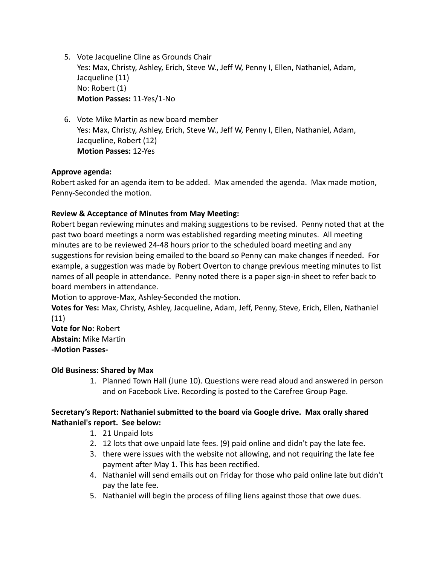- 5. Vote Jacqueline Cline as Grounds Chair Yes: Max, Christy, Ashley, Erich, Steve W., Jeff W, Penny I, Ellen, Nathaniel, Adam, Jacqueline (11) No: Robert (1) **Motion Passes:** 11-Yes/1-No
- 6. Vote Mike Martin as new board member Yes: Max, Christy, Ashley, Erich, Steve W., Jeff W, Penny I, Ellen, Nathaniel, Adam, Jacqueline, Robert (12) **Motion Passes:** 12-Yes

## **Approve agenda:**

Robert asked for an agenda item to be added. Max amended the agenda. Max made motion, Penny-Seconded the motion.

## **Review & Acceptance of Minutes from May Meeting:**

Robert began reviewing minutes and making suggestions to be revised. Penny noted that at the past two board meetings a norm was established regarding meeting minutes. All meeting minutes are to be reviewed 24-48 hours prior to the scheduled board meeting and any suggestions for revision being emailed to the board so Penny can make changes if needed. For example, a suggestion was made by Robert Overton to change previous meeting minutes to list names of all people in attendance. Penny noted there is a paper sign-in sheet to refer back to board members in attendance.

Motion to approve-Max, Ashley-Seconded the motion.

**Votes for Yes:** Max, Christy, Ashley, Jacqueline, Adam, Jeff, Penny, Steve, Erich, Ellen, Nathaniel (11)

**Vote for No**: Robert **Abstain:** Mike Martin **-Motion Passes-**

## **Old Business: Shared by Max**

1. Planned Town Hall (June 10). Questions were read aloud and answered in person and on Facebook Live. Recording is posted to the Carefree Group Page.

## **Secretary's Report: Nathaniel submitted to the board via Google drive. Max orally shared Nathaniel's report. See below:**

- 1. 21 Unpaid lots
- 2. 12 lots that owe unpaid late fees. (9) paid online and didn't pay the late fee.
- 3. there were issues with the website not allowing, and not requiring the late fee payment after May 1. This has been rectified.
- 4. Nathaniel will send emails out on Friday for those who paid online late but didn't pay the late fee.
- 5. Nathaniel will begin the process of filing liens against those that owe dues.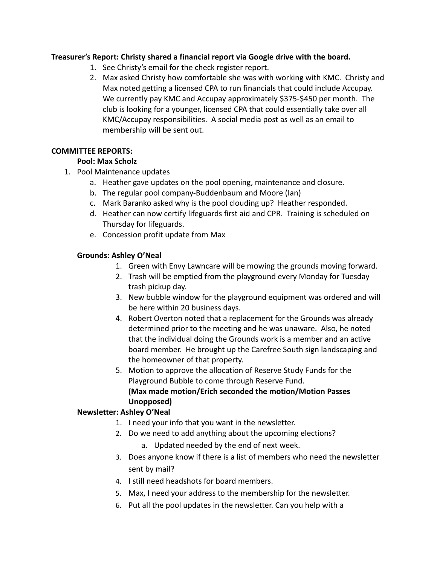## **Treasurer's Report: Christy shared a financial report via Google drive with the board.**

- 1. See Christy's email for the check register report.
- 2. Max asked Christy how comfortable she was with working with KMC. Christy and Max noted getting a licensed CPA to run financials that could include Accupay. We currently pay KMC and Accupay approximately \$375-\$450 per month. The club is looking for a younger, licensed CPA that could essentially take over all KMC/Accupay responsibilities. A social media post as well as an email to membership will be sent out.

## **COMMITTEE REPORTS:**

## **Pool: Max Scholz**

- 1. Pool Maintenance updates
	- a. Heather gave updates on the pool opening, maintenance and closure.
	- b. The regular pool company-Buddenbaum and Moore (Ian)
	- c. Mark Baranko asked why is the pool clouding up? Heather responded.
	- d. Heather can now certify lifeguards first aid and CPR. Training is scheduled on Thursday for lifeguards.
	- e. Concession profit update from Max

## **Grounds: Ashley O'Neal**

- 1. Green with Envy Lawncare will be mowing the grounds moving forward.
- 2. Trash will be emptied from the playground every Monday for Tuesday trash pickup day.
- 3. New bubble window for the playground equipment was ordered and will be here within 20 business days.
- 4. Robert Overton noted that a replacement for the Grounds was already determined prior to the meeting and he was unaware. Also, he noted that the individual doing the Grounds work is a member and an active board member. He brought up the Carefree South sign landscaping and the homeowner of that property.
- 5. Motion to approve the allocation of Reserve Study Funds for the Playground Bubble to come through Reserve Fund. **(Max made motion/Erich seconded the motion/Motion Passes Unopposed)**

## **Newsletter: Ashley O'Neal**

- 1. I need your info that you want in the newsletter.
- 2. Do we need to add anything about the upcoming elections?
	- a. Updated needed by the end of next week.
- 3. Does anyone know if there is a list of members who need the newsletter sent by mail?
- 4. I still need headshots for board members.
- 5. Max, I need your address to the membership for the newsletter.
- 6. Put all the pool updates in the newsletter. Can you help with a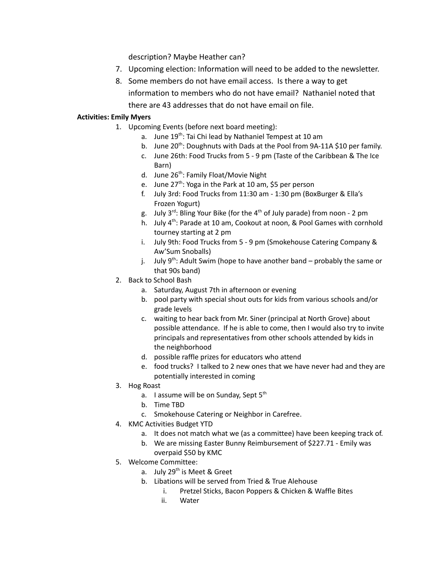description? Maybe Heather can?

- 7. Upcoming election: Information will need to be added to the newsletter.
- 8. Some members do not have email access. Is there a way to get information to members who do not have email? Nathaniel noted that there are 43 addresses that do not have email on file.

#### **Activities: Emily Myers**

- 1. Upcoming Events (before next board meeting):
	- a. June 19<sup>th</sup>: Tai Chi lead by Nathaniel Tempest at 10 am
	- b. June 20<sup>th</sup>: Doughnuts with Dads at the Pool from 9A-11A \$10 per family.
	- c. June 26th: Food Trucks from 5 9 pm (Taste of the Caribbean & The Ice Barn)
	- d. June 26<sup>th</sup>: Family Float/Movie Night
	- e. June 27<sup>th</sup>: Yoga in the Park at 10 am, \$5 per person
	- f. July 3rd: Food Trucks from 11:30 am 1:30 pm (BoxBurger & Ella's Frozen Yogurt)
	- g. July 3<sup>rd</sup>: Bling Your Bike (for the 4<sup>th</sup> of July parade) from noon 2 pm
	- h. July 4<sup>th</sup>: Parade at 10 am, Cookout at noon, & Pool Games with cornhold tourney starting at 2 pm
	- i. July 9th: Food Trucks from 5 9 pm (Smokehouse Catering Company & Aw'Sum Snoballs)
	- j. July 9<sup>th</sup>: Adult Swim (hope to have another band probably the same or that 90s band)
	- 2. Back to School Bash
		- a. Saturday, August 7th in afternoon or evening
		- b. pool party with special shout outs for kids from various schools and/or grade levels
		- c. waiting to hear back from Mr. Siner (principal at North Grove) about possible attendance. If he is able to come, then I would also try to invite principals and representatives from other schools attended by kids in the neighborhood
		- d. possible raffle prizes for educators who attend
		- e. food trucks? I talked to 2 new ones that we have never had and they are potentially interested in coming
	- 3. Hog Roast
		- a. I assume will be on Sunday, Sept 5<sup>th</sup>
		- b. Time TBD
		- c. Smokehouse Catering or Neighbor in Carefree.
- 4. KMC Activities Budget YTD
	- a. It does not match what we (as a committee) have been keeping track of.
	- b. We are missing Easter Bunny Reimbursement of \$227.71 Emily was overpaid \$50 by KMC
- 5. Welcome Committee:
	- a. July 29<sup>th</sup> is Meet & Greet
	- b. Libations will be served from Tried & True Alehouse
		- i. Pretzel Sticks, Bacon Poppers & Chicken & Waffle Bites
		- ii. Water